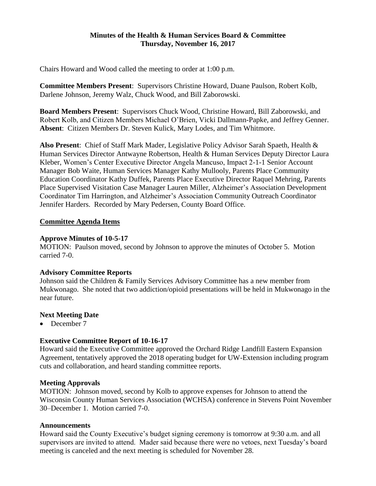### **Minutes of the Health & Human Services Board & Committee Thursday, November 16, 2017**

Chairs Howard and Wood called the meeting to order at 1:00 p.m.

**Committee Members Present**: Supervisors Christine Howard, Duane Paulson, Robert Kolb, Darlene Johnson, Jeremy Walz, Chuck Wood, and Bill Zaborowski.

**Board Members Present**: Supervisors Chuck Wood, Christine Howard, Bill Zaborowski, and Robert Kolb, and Citizen Members Michael O'Brien, Vicki Dallmann-Papke, and Jeffrey Genner. **Absent**: Citizen Members Dr. Steven Kulick, Mary Lodes, and Tim Whitmore.

**Also Present**: Chief of Staff Mark Mader, Legislative Policy Advisor Sarah Spaeth, Health & Human Services Director Antwayne Robertson, Health & Human Services Deputy Director Laura Kleber, Women's Center Executive Director Angela Mancuso, Impact 2-1-1 Senior Account Manager Bob Waite, Human Services Manager Kathy Mullooly, Parents Place Community Education Coordinator Kathy Duffek, Parents Place Executive Director Raquel Mehring, Parents Place Supervised Visitation Case Manager Lauren Miller, Alzheimer's Association Development Coordinator Tim Harrington, and Alzheimer's Association Community Outreach Coordinator Jennifer Harders. Recorded by Mary Pedersen, County Board Office.

## **Committee Agenda Items**

## **Approve Minutes of 10-5-17**

MOTION: Paulson moved, second by Johnson to approve the minutes of October 5. Motion carried 7-0.

### **Advisory Committee Reports**

Johnson said the Children & Family Services Advisory Committee has a new member from Mukwonago. She noted that two addiction/opioid presentations will be held in Mukwonago in the near future.

### **Next Meeting Date**

• December 7

# **Executive Committee Report of 10-16-17**

Howard said the Executive Committee approved the Orchard Ridge Landfill Eastern Expansion Agreement, tentatively approved the 2018 operating budget for UW-Extension including program cuts and collaboration, and heard standing committee reports.

### **Meeting Approvals**

MOTION: Johnson moved, second by Kolb to approve expenses for Johnson to attend the Wisconsin County Human Services Association (WCHSA) conference in Stevens Point November 30–December 1. Motion carried 7-0.

### **Announcements**

Howard said the County Executive's budget signing ceremony is tomorrow at 9:30 a.m. and all supervisors are invited to attend. Mader said because there were no vetoes, next Tuesday's board meeting is canceled and the next meeting is scheduled for November 28.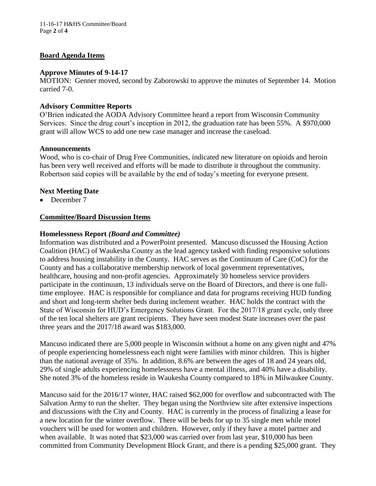# **Board Agenda Items**

### **Approve Minutes of 9-14-17**

MOTION: Genner moved, second by Zaborowski to approve the minutes of September 14. Motion carried 7-0.

# **Advisory Committee Reports**

O'Brien indicated the AODA Advisory Committee heard a report from Wisconsin Community Services. Since the drug court's inception in 2012, the graduation rate has been 55%. A \$970,000 grant will allow WCS to add one new case manager and increase the caseload.

## **Announcements**

Wood, who is co-chair of Drug Free Communities, indicated new literature on opioids and heroin has been very well received and efforts will be made to distribute it throughout the community. Robertson said copies will be available by the end of today's meeting for everyone present.

## **Next Meeting Date**

• December 7

## **Committee/Board Discussion Items**

## **Homelessness Report** *(Board and Committee)*

Information was distributed and a PowerPoint presented. Mancuso discussed the Housing Action Coalition (HAC) of Waukesha County as the lead agency tasked with finding responsive solutions to address housing instability in the County. HAC serves as the Continuum of Care (CoC) for the County and has a collaborative membership network of local government representatives, healthcare, housing and non-profit agencies. Approximately 30 homeless service providers participate in the continuum, 13 individuals serve on the Board of Directors, and there is one fulltime employee. HAC is responsible for compliance and data for programs receiving HUD funding and short and long-term shelter beds during inclement weather. HAC holds the contract with the State of Wisconsin for HUD's Emergency Solutions Grant. For the 2017/18 grant cycle, only three of the ten local shelters are grant recipients. They have seen modest State increases over the past three years and the 2017/18 award was \$183,000.

Mancuso indicated there are 5,000 people in Wisconsin without a home on any given night and 47% of people experiencing homelessness each night were families with minor children. This is higher than the national average of 35%. In addition, 8.6% are between the ages of 18 and 24 years old, 29% of single adults experiencing homelessness have a mental illness, and 40% have a disability. She noted 3% of the homeless reside in Waukesha County compared to 18% in Milwaukee County.

Mancuso said for the 2016/17 winter, HAC raised \$62,000 for overflow and subcontracted with The Salvation Army to run the shelter. They began using the Northview site after extensive inspections and discussions with the City and County. HAC is currently in the process of finalizing a lease for a new location for the winter overflow. There will be beds for up to 35 single men while motel vouchers will be used for women and children. However, only if they have a motel partner and when available. It was noted that \$23,000 was carried over from last year, \$10,000 has been committed from Community Development Block Grant, and there is a pending \$25,000 grant. They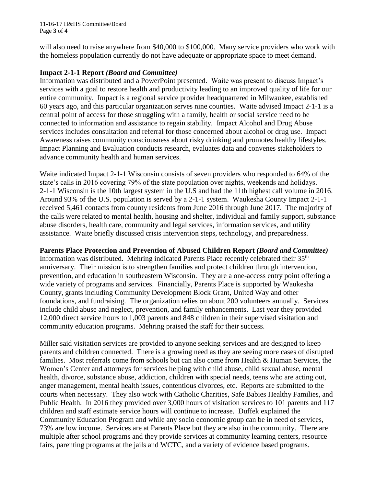11-16-17 H&HS Committee/Board Page **3** of **4**

will also need to raise anywhere from \$40,000 to \$100,000. Many service providers who work with the homeless population currently do not have adequate or appropriate space to meet demand.

## **Impact 2-1-1 Report** *(Board and Committee)*

Information was distributed and a PowerPoint presented. Waite was present to discuss Impact's services with a goal to restore health and productivity leading to an improved quality of life for our entire community. Impact is a regional service provider headquartered in Milwaukee, established 60 years ago, and this particular organization serves nine counties. Waite advised Impact 2-1-1 is a central point of access for those struggling with a family, health or social service need to be connected to information and assistance to regain stability. Impact Alcohol and Drug Abuse services includes consultation and referral for those concerned about alcohol or drug use. Impact Awareness raises community consciousness about risky drinking and promotes healthy lifestyles. Impact Planning and Evaluation conducts research, evaluates data and convenes stakeholders to advance community health and human services.

Waite indicated Impact 2-1-1 Wisconsin consists of seven providers who responded to 64% of the state's calls in 2016 covering 79% of the state population over nights, weekends and holidays. 2-1-1 Wisconsin is the 10th largest system in the U.S and had the 11th highest call volume in 2016. Around 93% of the U.S. population is served by a 2-1-1 system. Waukesha County Impact 2-1-1 received 5,461 contacts from county residents from June 2016 through June 2017. The majority of the calls were related to mental health, housing and shelter, individual and family support, substance abuse disorders, health care, community and legal services, information services, and utility assistance. Waite briefly discussed crisis intervention steps, technology, and preparedness.

**Parents Place Protection and Prevention of Abused Children Report** *(Board and Committee)*

Information was distributed. Mehring indicated Parents Place recently celebrated their  $35<sup>th</sup>$ anniversary. Their mission is to strengthen families and protect children through intervention, prevention, and education in southeastern Wisconsin. They are a one-access entry point offering a wide variety of programs and services. Financially, Parents Place is supported by Waukesha County, grants including Community Development Block Grant, United Way and other foundations, and fundraising. The organization relies on about 200 volunteers annually. Services include child abuse and neglect, prevention, and family enhancements. Last year they provided 12,000 direct service hours to 1,003 parents and 848 children in their supervised visitation and community education programs. Mehring praised the staff for their success.

Miller said visitation services are provided to anyone seeking services and are designed to keep parents and children connected. There is a growing need as they are seeing more cases of disrupted families. Most referrals come from schools but can also come from Health & Human Services, the Women's Center and attorneys for services helping with child abuse, child sexual abuse, mental health, divorce, substance abuse, addiction, children with special needs, teens who are acting out, anger management, mental health issues, contentious divorces, etc. Reports are submitted to the courts when necessary. They also work with Catholic Charities, Safe Babies Healthy Families, and Public Health. In 2016 they provided over 3,000 hours of visitation services to 101 parents and 117 children and staff estimate service hours will continue to increase. Duffek explained the Community Education Program and while any socio economic group can be in need of services, 73% are low income. Services are at Parents Place but they are also in the community. There are multiple after school programs and they provide services at community learning centers, resource fairs, parenting programs at the jails and WCTC, and a variety of evidence based programs.